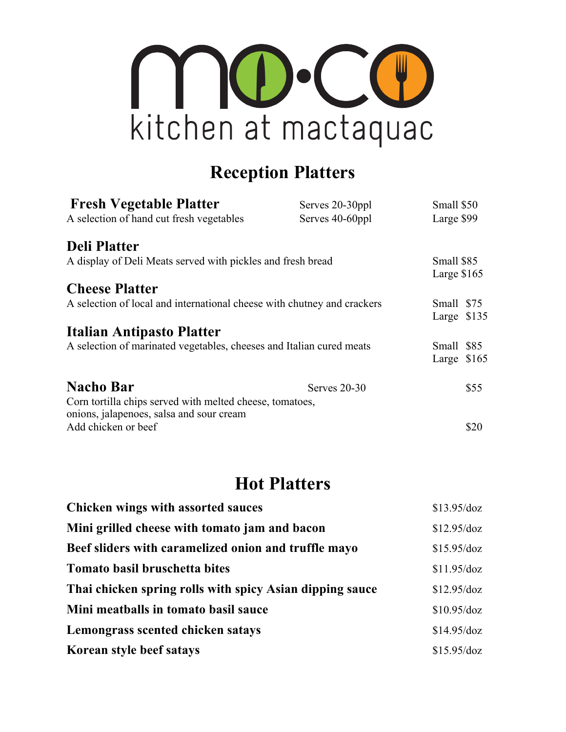

## **Reception Platters**

| <b>Fresh Vegetable Platter</b>                                       | Serves 20-30ppl                                                         | Small \$50   |            |
|----------------------------------------------------------------------|-------------------------------------------------------------------------|--------------|------------|
| A selection of hand cut fresh vegetables                             | Serves 40-60ppl                                                         | Large \$99   |            |
| <b>Deli Platter</b>                                                  |                                                                         |              |            |
| A display of Deli Meats served with pickles and fresh bread          |                                                                         | Small \$85   |            |
|                                                                      |                                                                         | Large $$165$ |            |
| <b>Cheese Platter</b>                                                |                                                                         |              |            |
|                                                                      | A selection of local and international cheese with chutney and crackers |              | Small \$75 |
|                                                                      |                                                                         | Large \$135  |            |
| Italian Antipasto Platter                                            |                                                                         |              |            |
| A selection of marinated vegetables, cheeses and Italian cured meats |                                                                         | Small \$85   |            |
|                                                                      |                                                                         | Large \$165  |            |
| <b>Nacho Bar</b>                                                     | Serves 20-30                                                            |              | \$55       |
| Corn tortilla chips served with melted cheese, tomatoes,             |                                                                         |              |            |
| onions, jalapenoes, salsa and sour cream                             |                                                                         |              |            |
| Add chicken or beef                                                  |                                                                         |              | \$20       |

## **Hot Platters**

| <b>Chicken wings with assorted sauces</b>                | \$13.95/doz   |
|----------------------------------------------------------|---------------|
| Mini grilled cheese with tomato jam and bacon            | $$12.95$ /doz |
| Beef sliders with caramelized onion and truffle mayo     | \$15.95/doz   |
| Tomato basil bruschetta bites                            | $$11.95$ /doz |
| Thai chicken spring rolls with spicy Asian dipping sauce | \$12.95/doz   |
| Mini meatballs in tomato basil sauce                     | \$10.95/doz   |
| Lemongrass scented chicken satays                        | \$14.95/doz   |
| Korean style beef satays                                 | \$15.95/doz   |